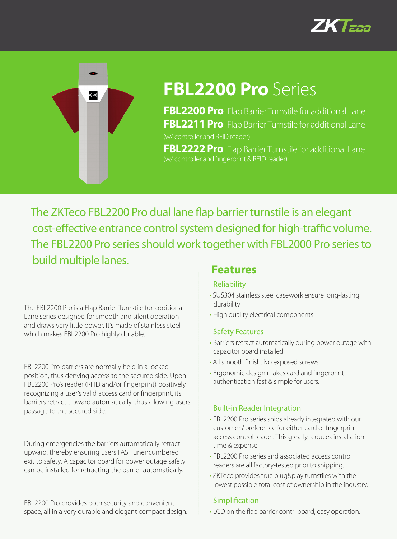



# **FBL2200 Pro** Series

**FBL2200 Pro** Flap Barrier Turnstile for additional Lane **FBL2211 Pro** Flap Barrier Turnstile for additional Lane (w/ controller and RFID reader)

**FBL2222 Pro** Flap Barrier Turnstile for additional Lane (w/ controller and fingerprint & RFID reader)

The ZKTeco FBL2200 Pro dual lane flap barrier turnstile is an elegant cost-effective entrance control system designed for high-traffic volume. The FBL2200 Pro series should work together with FBL2000 Pro series to build multiple lanes.

The FBL2200 Pro is a Flap Barrier Turnstile for additional Lane series designed for smooth and silent operation and draws very little power. It's made of stainless steel which makes FBL2200 Pro highly durable.

FBL2200 Pro barriers are normally held in a locked position, thus denying access to the secured side. Upon FBL2200 Pro's reader (RFID and/or fingerprint) positively recognizing a user's valid access card or fingerprint, its barriers retract upward automatically, thus allowing users passage to the secured side.

During emergencies the barriers automatically retract upward, thereby ensuring users FAST unencumbered exit to safety. A capacitor board for power outage safety can be installed for retracting the barrier automatically.

FBL2200 Pro provides both security and convenient space, all in a very durable and elegant compact design.

### **Features**

#### Reliability

- SUS304 stainless steel casework ensure long-lasting durability
- High quality electrical components

#### Safety Features

- Barriers retract automatically during power outage with capacitor board installed
- All smooth finish. No exposed screws.
- Ergonomic design makes card and fingerprint authentication fast & simple for users.

#### Built-in Reader Integration

- FBL2200 Pro series ships already integrated with our customers' preference for either card or fingerprint access control reader. This greatly reduces installation time & expense.
- FBL2200 Pro series and associated access control readers are all factory-tested prior to shipping.
- •ZKTeco provides true plug&play turnstiles with the lowest possible total cost of ownership in the industry.

#### **Simplification**

• LCD on the flap barrier contrl board, easy operation.